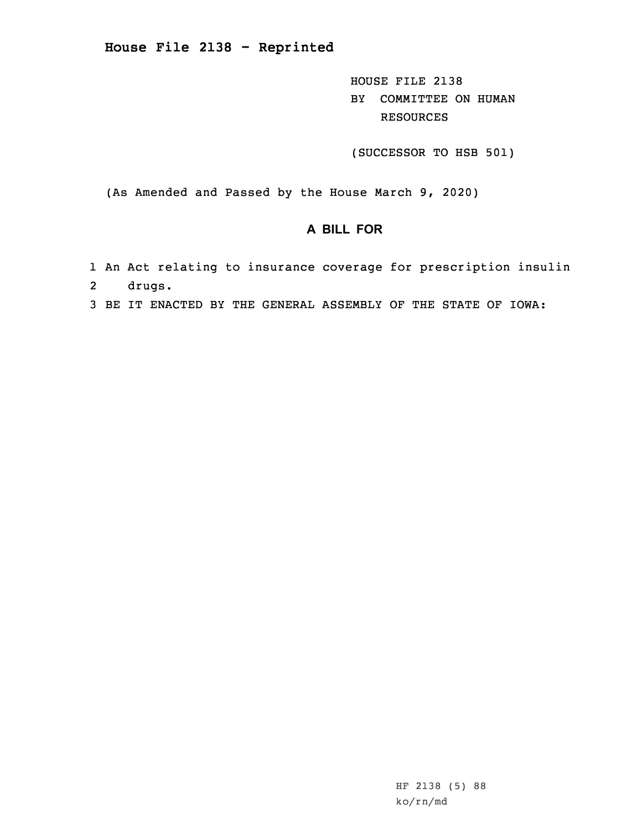**House File 2138 - Reprinted**

HOUSE FILE 2138 BY COMMITTEE ON HUMAN RESOURCES

(SUCCESSOR TO HSB 501)

(As Amended and Passed by the House March 9, 2020)

## **A BILL FOR**

- 1 An Act relating to insurance coverage for prescription insulin 2drugs.
- 3 BE IT ENACTED BY THE GENERAL ASSEMBLY OF THE STATE OF IOWA: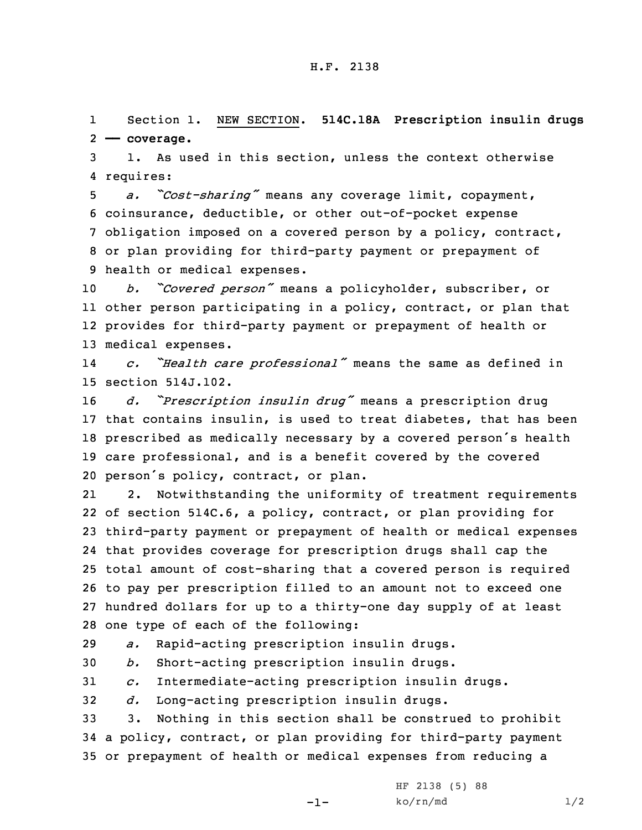1 Section 1. NEW SECTION. **514C.18A Prescription insulin drugs** 2 **—— coverage.**

3 1. As used in this section, unless the context otherwise 4 requires:

 *a. "Cost-sharing"* means any coverage limit, copayment, coinsurance, deductible, or other out-of-pocket expense obligation imposed on <sup>a</sup> covered person by <sup>a</sup> policy, contract, or plan providing for third-party payment or prepayment of health or medical expenses.

 *b. "Covered person"* means <sup>a</sup> policyholder, subscriber, or other person participating in <sup>a</sup> policy, contract, or plan that provides for third-party payment or prepayment of health or medical expenses.

14 *c. "Health care professional"* means the same as defined in 15 section 514J.102.

 *d. "Prescription insulin drug"* means <sup>a</sup> prescription drug that contains insulin, is used to treat diabetes, that has been prescribed as medically necessary by <sup>a</sup> covered person's health care professional, and is <sup>a</sup> benefit covered by the covered person's policy, contract, or plan.

21 2. Notwithstanding the uniformity of treatment requirements of section 514C.6, <sup>a</sup> policy, contract, or plan providing for third-party payment or prepayment of health or medical expenses that provides coverage for prescription drugs shall cap the total amount of cost-sharing that <sup>a</sup> covered person is required to pay per prescription filled to an amount not to exceed one hundred dollars for up to <sup>a</sup> thirty-one day supply of at least one type of each of the following:

29 *a.* Rapid-acting prescription insulin drugs.

30 *b.* Short-acting prescription insulin drugs.

31 *c.* Intermediate-acting prescription insulin drugs.

32 *d.* Long-acting prescription insulin drugs.

33 3. Nothing in this section shall be construed to prohibit 34 <sup>a</sup> policy, contract, or plan providing for third-party payment 35 or prepayment of health or medical expenses from reducing <sup>a</sup>

-1-

HF 2138 (5) 88  $ko/rn/md$  1/2